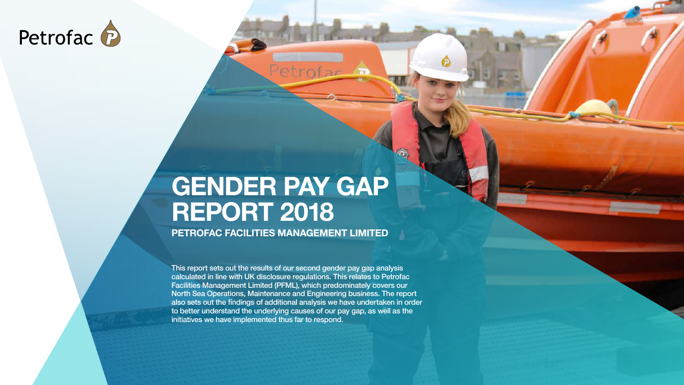This report sets out the results of our second gender pay gap analysis calculated in line with UK disclosure regulations. This relates to Petrofac Facilities Management Limited (PFML), which predominately covers our North Sea Operations, Maintenance and Engineering business. The report also sets out the findings of additional analysis we have undertaken in order to better understand the underlying causes of our pay gap, as well as the initiatives we have implemented thus far to respond.





# **GENDER PAY GAP REPORT 2018**

**PETROFAC FACILITIES MANAGEMENT LIMITED**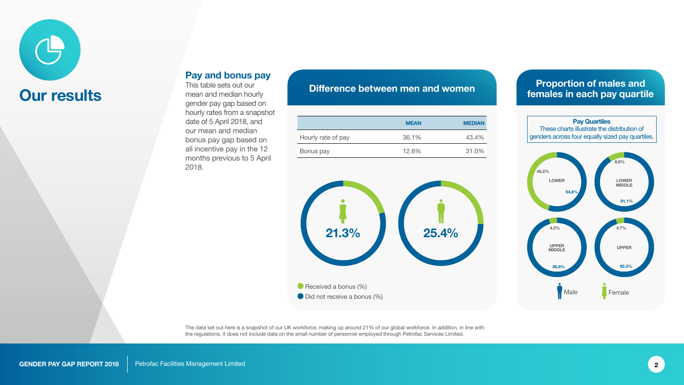## **Our results**

|                    | <b>MEAN</b> | <b>MEDIAN</b> |
|--------------------|-------------|---------------|
| Hourly rate of pay | 36.1%       | 43.4%         |
| Bonus pay          | 12.6%       | 31.0%         |





#### **Pay and bonus pay**

This table sets out our mean and median hourly gender pay gap based on hourly rates from a snapshot date of 5 April 2018, and our mean and median bonus pay gap based on all incentive pay in the 12 months previous to 5 April 2018.



The data set out here is a snapshot of our UK workforce, making up around 21% of our global workforce. In addition, in line with the regulations, it does not include data on the small number of personnel employed through Petrofac Services Limited.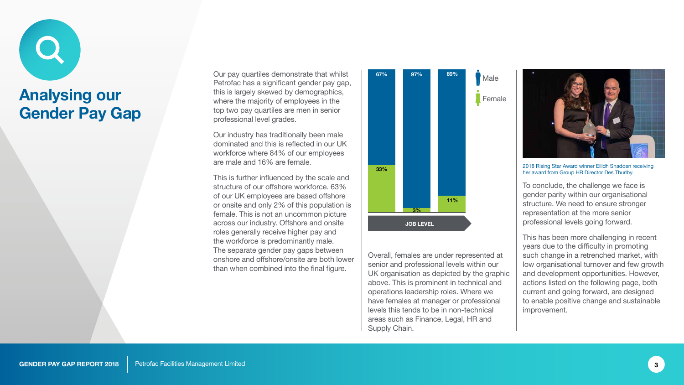## **Analysing our Gender Pay Gap**

Our pay quartiles demonstrate that whilst Petrofac has a significant gender pay gap, this is largely skewed by demographics, where the majority of employees in the top two pay quartiles are men in senior professional level grades.

Our industry has traditionally been male dominated and this is reflected in our UK workforce where 84% of our employees are male and 16% are female.

This is further influenced by the scale and structure of our offshore workforce. 63% of our UK employees are based offshore or onsite and only 2% of this population is female. This is not an uncommon picture across our industry. Offshore and onsite roles generally receive higher pay and the workforce is predominantly male. The separate gender pay gaps between onshore and offshore/onsite are both lower than when combined into the final figure.

Overall, females are under represented at senior and professional levels within our UK organisation as depicted by the graphic above. This is prominent in technical and operations leadership roles. Where we have females at manager or professional levels this tends to be in non-technical areas such as Finance, Legal, HR and Supply Chain.

Male

**Female** 

To conclude, the challenge we face is gender parity within our organisational structure. We need to ensure stronger representation at the more senior professional levels going forward.

This has been more challenging in recent years due to the difficulty in promoting such change in a retrenched market, with low organisational turnover and few growth and development opportunities. However, actions listed on the following page, both current and going forward, are designed to enable positive change and sustainable improvement.





2018 Rising Star Award winner Eilidh Snadden receiving her award from Group HR Director Des Thurlby.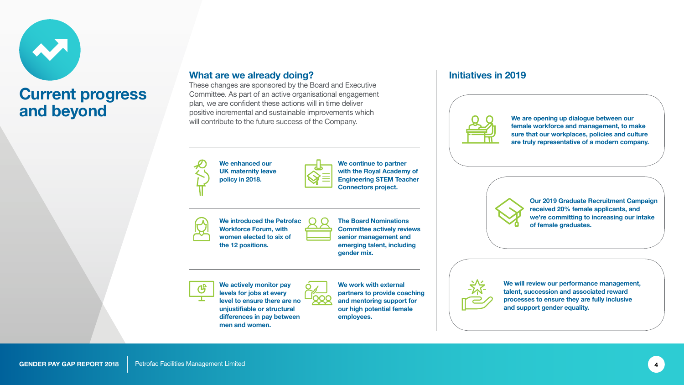### **Current progress and beyond**

**We continue to partner with the Royal Academy of Engineering STEM Teacher Connectors project.**

**We enhanced our UK maternity leave policy in 2018.**

**We introduced the Petrofac Workforce Forum, with women elected to six of the 12 positions.**

**The Board Nominations Committee actively reviews senior management and emerging talent, including gender mix.**



**We actively monitor pay levels for jobs at every level to ensure there are no unjustifiable or structural differences in pay between men and women.**



**We work with external partners to provide coaching and mentoring support for our high potential female employees.**



#### **Initiatives in 2019**



**Our 2019 Graduate Recruitment Campaign received 20% female applicants, and we're committing to increasing our intake of female graduates.**

**We are opening up dialogue between our female workforce and management, to make sure that our workplaces, policies and culture are truly representative of a modern company.**



**We will review our performance management, talent, succession and associated reward processes to ensure they are fully inclusive and support gender equality.**



These changes are sponsored by the Board and Executive Committee. As part of an active organisational engagement plan, we are confident these actions will in time deliver positive incremental and sustainable improvements which will contribute to the future success of the Company.